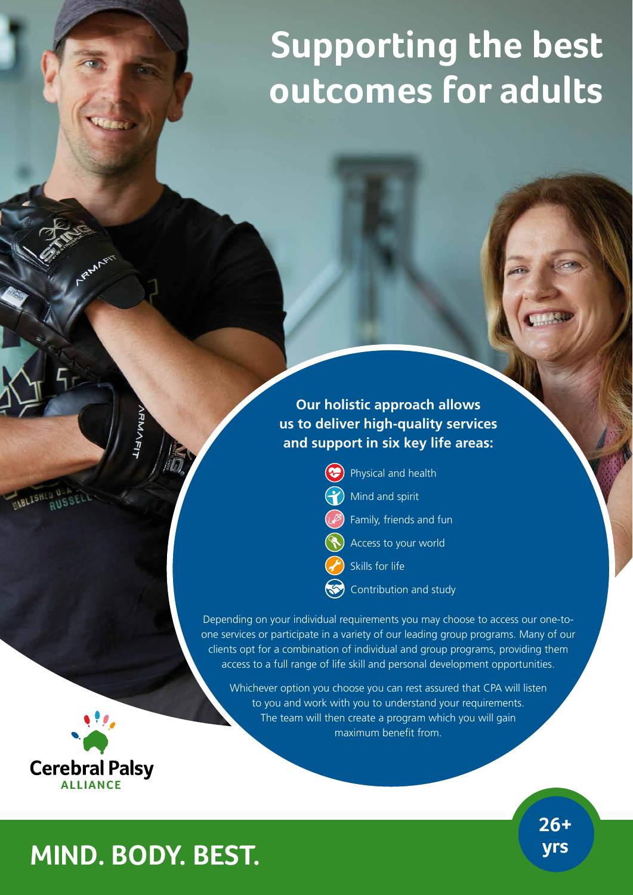# **Supporting the best outcomes for adults**

## **Our holistic approach allows us to deliver high-quality services and support in six key life areas:**



Depending on your individual requirements you may choose to access our one-toone services or participate in a variety of our leading group programs. Many of our clients opt for a combination of individual and group programs, providing them access to a full range of life skill and personal development opportunities.

Whichever option you choose you can rest assured that CPA will listen to you and work with you to understand your requirements. The team will then create a program which you will gain maximum benefit from.



**26+** 

# **yrs MIND. BODY. BEST.**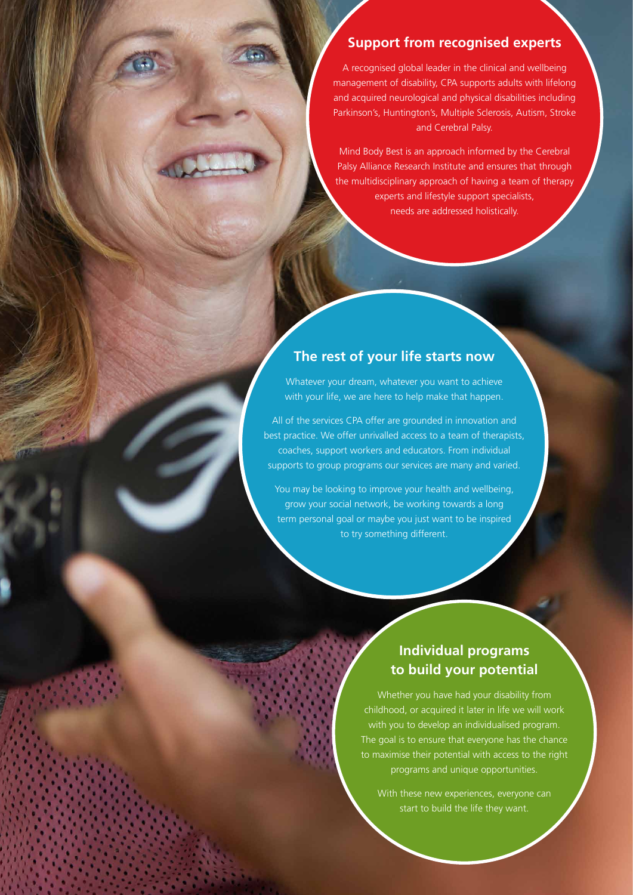#### **Support from recognised experts**

A recognised global leader in the clinical and wellbeing management of disability, CPA supports adults with lifelong and acquired neurological and physical disabilities including Parkinson's, Huntington's, Multiple Sclerosis, Autism, Stroke and Cerebral Palsy.

Mind Body Best is an approach informed by the Cerebral Palsy Alliance Research Institute and ensures that through the multidisciplinary approach of having a team of therapy experts and lifestyle support specialists, needs are addressed holistically.

#### **The rest of your life starts now**

Whatever your dream, whatever you want to achieve with your life, we are here to help make that happen.

All of the services CPA offer are grounded in innovation and best practice. We offer unrivalled access to a team of therapists, coaches, support workers and educators. From individual supports to group programs our services are many and varied.

You may be looking to improve your health and wellbeing, grow your social network, be working towards a long term personal goal or maybe you just want to be inspired to try something different.

#### **Individual programs to build your potential**

Whether you have had your disability from childhood, or acquired it later in life we will work with you to develop an individualised program. The goal is to ensure that everyone has the chance to maximise their potential with access to the right programs and unique opportunities.

With these new experiences, everyone can start to build the life they want.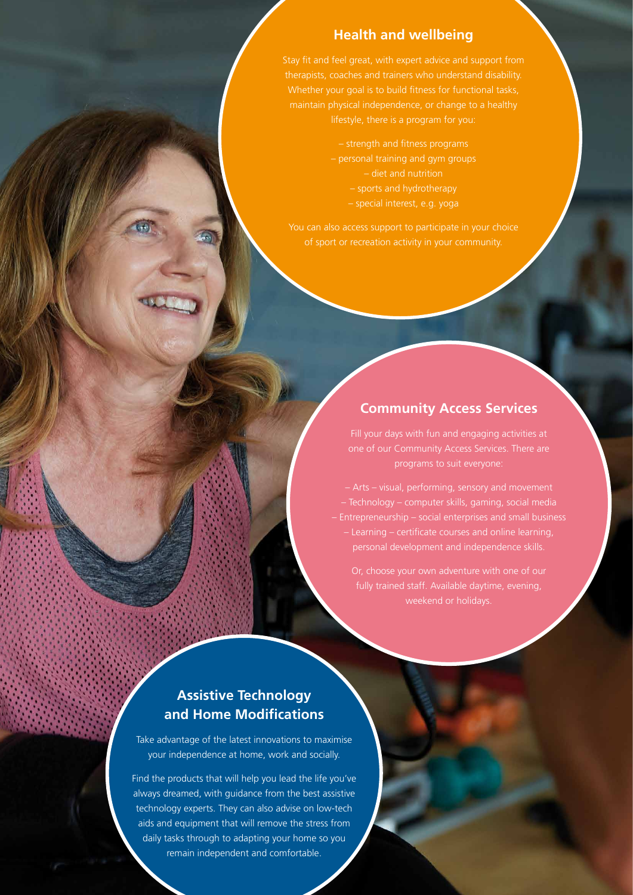#### **Health and wellbeing**

Stay fit and feel great, with expert advice and support from Whether your goal is to build fitness for functional tasks, lifestyle, there is a program for you:

> – strength and fitness programs – personal training and gym groups – diet and nutrition – sports and hydrotherapy

– special interest, e.g. yoga

You can also access support to participate in your choice of sport or recreation activity in your community.

#### **Community Access Services**

Fill your days with fun and engaging activities at one of our Community Access Services. There are programs to suit everyone:

– Technology – computer skills, gaming, social media – Learning – certificate courses and online learning, personal development and independence skills.

### **Assistive Technology and Home Modifications**

Take advantage of the latest innovations to maximise your independence at home, work and socially.

Find the products that will help you lead the life you've always dreamed, with guidance from the best assistive technology experts. They can also advise on low-tech aids and equipment that will remove the stress from daily tasks through to adapting your home so you remain independent and comfortable.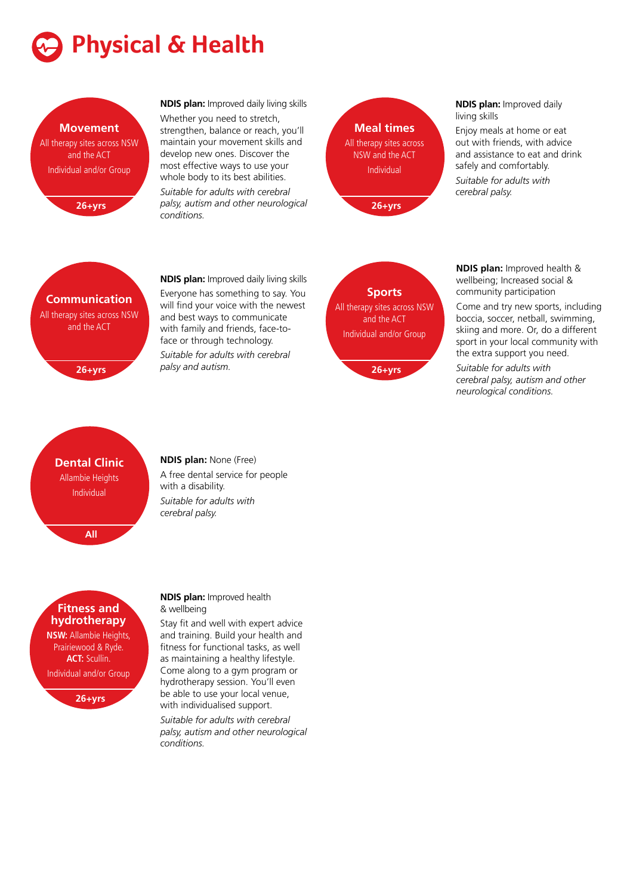



**NDIS plan:** Improved daily living skills Whether you need to stretch, strengthen, balance or reach, you'll maintain your movement skills and develop new ones. Discover the most effective ways to use your whole body to its best abilities. *Suitable for adults with cerebral palsy, autism and other neurological conditions.*



**NDIS plan:** Improved daily living skills

Enjoy meals at home or eat out with friends, with advice and assistance to eat and drink safely and comfortably.

*Suitable for adults with cerebral palsy.*



**26+yrs**

**NDIS plan:** Improved daily living skills Everyone has something to say. You will find your voice with the newest and best ways to communicate with family and friends, face-toface or through technology. *Suitable for adults with cerebral palsy and autism.*

**Sports** All therapy sites across NSW and the ACT Individual and/or Group

**26+yrs**

**NDIS plan:** Improved health & wellbeing; Increased social & community participation

Come and try new sports, including boccia, soccer, netball, swimming, skiing and more. Or, do a different sport in your local community with the extra support you need.

*Suitable for adults with cerebral palsy, autism and other neurological conditions.*

# **Dental Clinic** Allambie Heights Individual



#### **Fitness and hydrotherapy**

**NSW:** Allambie Heights, Prairiewood & Ryde. **ACT:** Scullin. Individual and/or Group

**26+yrs**

#### **NDIS plan:** None (Free)

A free dental service for people with a disability. *Suitable for adults with cerebral palsy.*

**NDIS plan:** Improved health & wellbeing

Stay fit and well with expert advice and training. Build your health and fitness for functional tasks, as well as maintaining a healthy lifestyle. Come along to a gym program or hydrotherapy session. You'll even be able to use your local venue, with individualised support.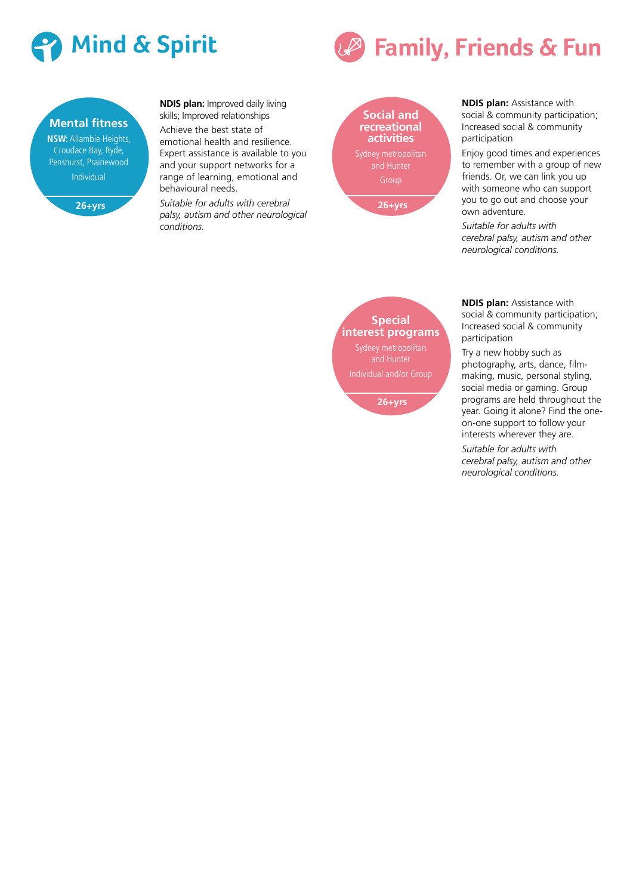



**NDIS plan:** Improved daily living skills; Improved relationships

Achieve the best state of emotional health and resilience. Expert assistance is available to you and your support networks for a range of learning, emotional and behavioural needs.

*Suitable for adults with cerebral palsy, autism and other neurological conditions.*

**Social and recreational activities 26+yrs**

**Special interest programs**

and Hunter Individual and/or Group

**26+yrs**



**NDIS plan:** Assistance with social & community participation; Increased social & community participation

Enjoy good times and experiences to remember with a group of new friends. Or, we can link you up with someone who can support you to go out and choose your own adventure.

*Suitable for adults with cerebral palsy, autism and other neurological conditions.*

**NDIS plan:** Assistance with social & community participation; Increased social & community participation

Try a new hobby such as photography, arts, dance, filmmaking, music, personal styling, social media or gaming. Group programs are held throughout the year. Going it alone? Find the oneon-one support to follow your interests wherever they are.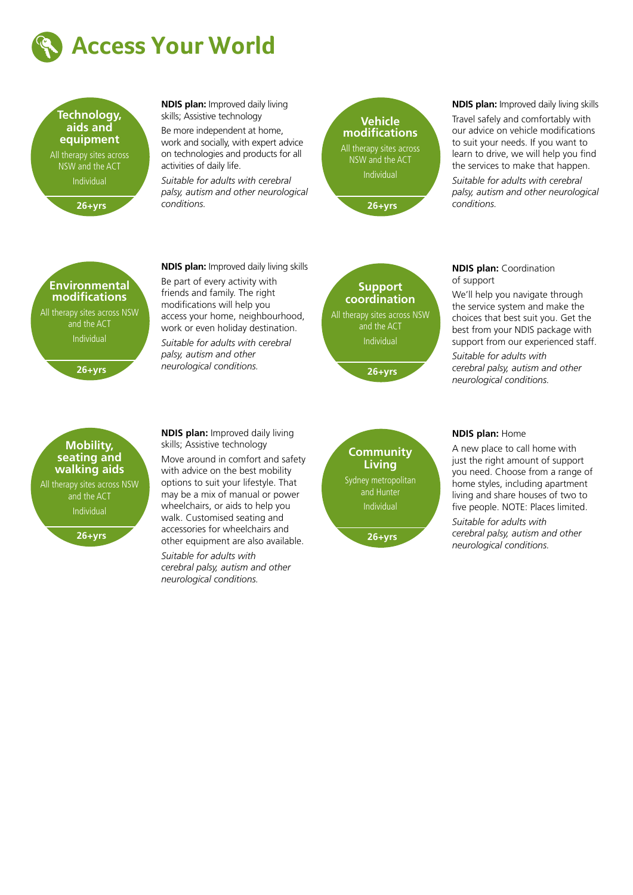



**26+yrs**

**NDIS plan:** Improved daily living skills; Assistive technology Be more independent at home, work and socially, with expert advice on technologies and products for all

activities of daily life.

*Suitable for adults with cerebral palsy, autism and other neurological conditions.*



**NDIS plan:** Improved daily living skills

Travel safely and comfortably with our advice on vehicle modifications to suit your needs. If you want to learn to drive, we will help you find the services to make that happen.

*Suitable for adults with cerebral palsy, autism and other neurological conditions.*



**26+yrs**

#### **Mobility, seating and walking aids** All therapy sites across NSW and the ACT Individual **26+yrs**

**NDIS plan:** Improved daily living skills Be part of every activity with friends and family. The right modifications will help you access your home, neighbourhood, work or even holiday destination. *Suitable for adults with cerebral palsy, autism and other neurological conditions.*

**NDIS plan:** Improved daily living skills; Assistive technology

*Suitable for adults with cerebral palsy, autism and other neurological conditions.*

Move around in comfort and safety with advice on the best mobility options to suit your lifestyle. That may be a mix of manual or power wheelchairs, or aids to help you walk. Customised seating and accessories for wheelchairs and other equipment are also available.



**Community Living** Sydney metropolitan and Hunter Individual **26+yrs**

#### **NDIS plan:** Coordination of support

We'll help you navigate through the service system and make the choices that best suit you. Get the best from your NDIS package with support from our experienced staff.

*Suitable for adults with cerebral palsy, autism and other neurological conditions.*

#### **NDIS plan:** Home

A new place to call home with just the right amount of support you need. Choose from a range of home styles, including apartment living and share houses of two to five people. NOTE: Places limited.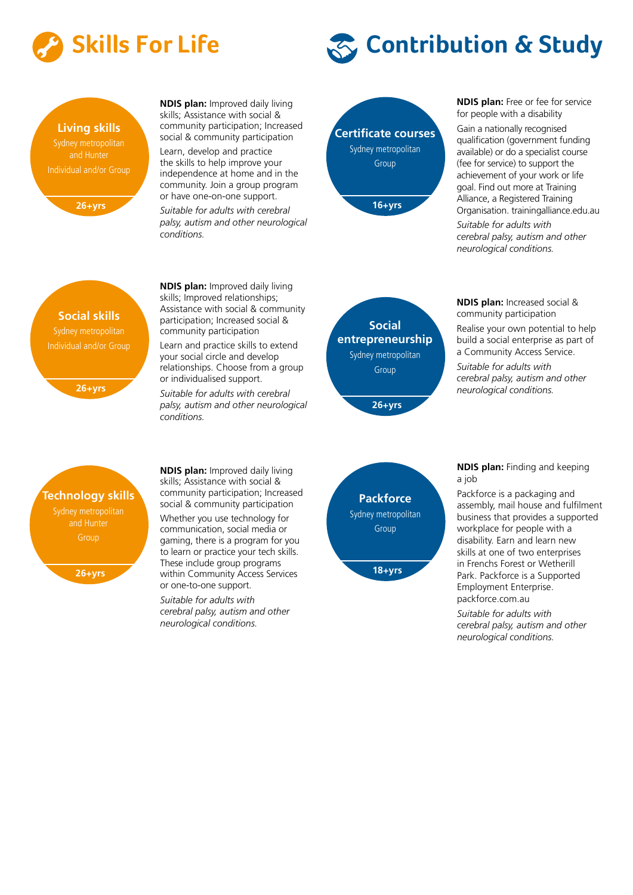





**26+yrs**

**NDIS plan:** Improved daily living skills; Assistance with social & community participation; Increased social & community participation Learn, develop and practice the skills to help improve your independence at home and in the community. Join a group program or have one-on-one support.

*Suitable for adults with cerebral palsy, autism and other neurological conditions.*



**NDIS plan:** Free or fee for service for people with a disability

Gain a nationally recognised qualification (government funding available) or do a specialist course (fee for service) to support the achievement of your work or life goal. Find out more at Training Alliance, a Registered Training Organisation. trainingalliance.edu.au

*Suitable for adults with cerebral palsy, autism and other neurological conditions.*

**Social skills** Sydney metropolitan Individual and/or Group

**26+yrs**

**NDIS plan:** Improved daily living skills; Improved relationships; Assistance with social & community participation; Increased social & community participation

Learn and practice skills to extend your social circle and develop relationships. Choose from a group or individualised support.

*Suitable for adults with cerebral palsy, autism and other neurological conditions.*



**NDIS plan:** Increased social & community participation

Realise your own potential to help build a social enterprise as part of a Community Access Service.

*Suitable for adults with cerebral palsy, autism and other neurological conditions.*

# **Technology skills**

and Hunter **Group** 

**26+yrs**

**NDIS plan:** Improved daily living skills; Assistance with social & community participation; Increased social & community participation Whether you use technology for communication, social media or gaming, there is a program for you to learn or practice your tech skills. These include group programs within Community Access Services or one-to-one support. *Suitable for adults with cerebral palsy, autism and other neurological conditions.*



**NDIS plan:** Finding and keeping a job

Packforce is a packaging and assembly, mail house and fulfilment business that provides a supported workplace for people with a disability. Earn and learn new skills at one of two enterprises in Frenchs Forest or Wetherill Park. Packforce is a Supported Employment Enterprise. packforce.com.au